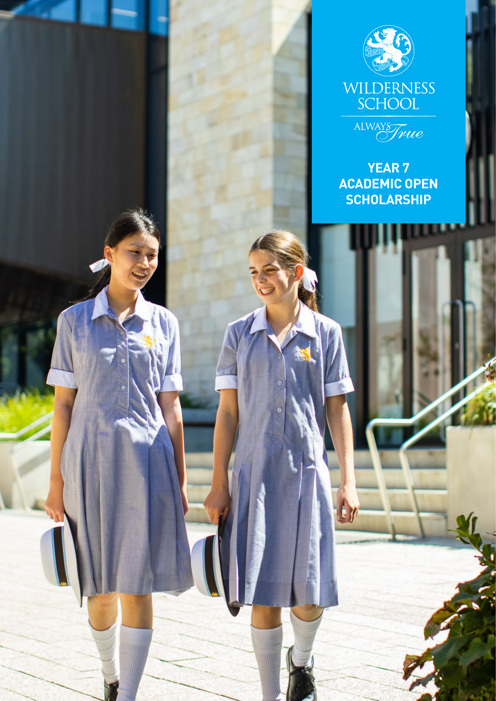



**YEAR 7 ACADEMIC OPEN SCHOLARSHIP**